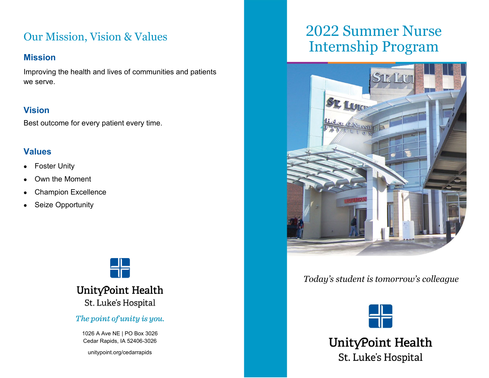# Our Mission, Vision & Values

#### **Mission**

Improving the health and lives of communities and patients we serve.

#### **Vision**

Best outcome for every patient every time.

#### **Values**

- Foster Unity
- Own the Moment
- Champion Excellence
- Seize Opportunity



## UnityPoint Health St. Luke's Hospital

#### The point of unity is you.

1026 A Ave NE | PO Box 3026 Cedar Rapids, IA 52406-3026

unitypoint.org/cedarrapids

# 2022 Summer Nurse Internship Program



### *Today's student is tomorrow's colleague*



UnityPoint Health St. Luke's Hospital